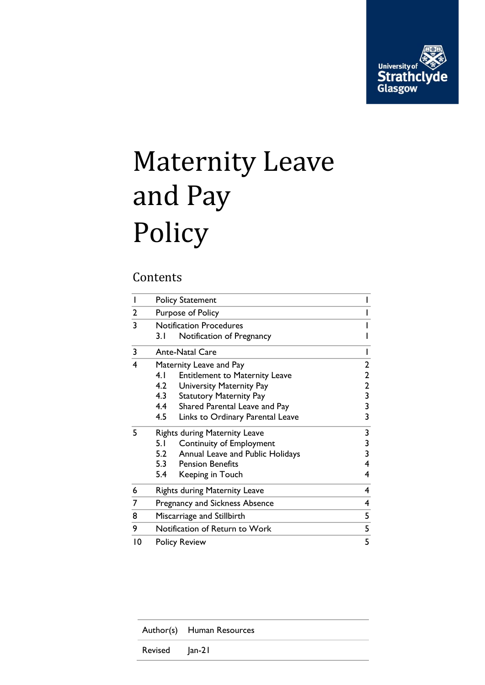

# Maternity Leave and Pay Policy

## **Contents**

|                         | <b>Policy Statement</b>               |                                       |                                                   |
|-------------------------|---------------------------------------|---------------------------------------|---------------------------------------------------|
| $\overline{2}$          | Purpose of Policy                     |                                       |                                                   |
| $\overline{\mathbf{3}}$ | <b>Notification Procedures</b>        |                                       |                                                   |
|                         | 3. I                                  | Notification of Pregnancy             |                                                   |
| 3                       | <b>Ante-Natal Care</b>                |                                       |                                                   |
| 4                       | Maternity Leave and Pay               |                                       |                                                   |
|                         | 4.1                                   | <b>Entitlement to Maternity Leave</b> |                                                   |
|                         | 4.2                                   | University Maternity Pay              | $\begin{array}{c}\n2 \\ 2 \\ 3 \\ 3\n\end{array}$ |
|                         | 4.3                                   | <b>Statutory Maternity Pay</b>        |                                                   |
|                         | 4.4                                   | Shared Parental Leave and Pay         |                                                   |
|                         | 4.5                                   | Links to Ordinary Parental Leave      | 3                                                 |
| 5                       | <b>Rights during Maternity Leave</b>  |                                       | 3                                                 |
|                         | 5.1                                   | Continuity of Employment              | 3                                                 |
|                         | 5.2                                   | Annual Leave and Public Holidays      | 3                                                 |
|                         |                                       | 5.3 Pension Benefits                  | 4                                                 |
|                         | 5.4                                   | Keeping in Touch                      | 4                                                 |
| 6                       |                                       | <b>Rights during Maternity Leave</b>  |                                                   |
| 7                       | <b>Pregnancy and Sickness Absence</b> |                                       |                                                   |
| 8                       | Miscarriage and Stillbirth            |                                       |                                                   |
| 9                       | Notification of Return to Work<br>5   |                                       |                                                   |
| $\overline{10}$         | 5<br><b>Policy Review</b>             |                                       |                                                   |

|                | Author(s) Human Resources |
|----------------|---------------------------|
| Revised Jan-21 |                           |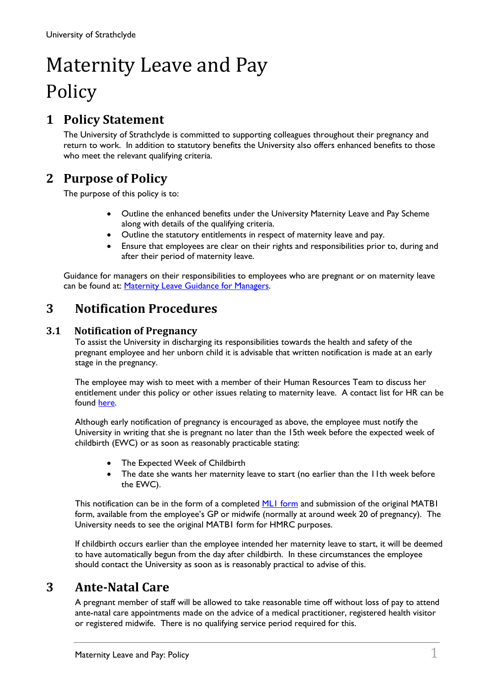## Maternity Leave and Pay Policy

## <span id="page-1-0"></span>**1 Policy Statement**

The University of Strathclyde is committed to supporting colleagues throughout their pregnancy and return to work. In addition to statutory benefits the University also offers enhanced benefits to those who meet the relevant qualifying criteria.

## <span id="page-1-1"></span>**2 Purpose of Policy**

The purpose of this policy is to:

- Outline the enhanced benefits under the University Maternity Leave and Pay Scheme along with details of the qualifying criteria.
- Outline the statutory entitlements in respect of maternity leave and pay.
- Ensure that employees are clear on their rights and responsibilities prior to, during and after their period of maternity leave.

Guidance for managers on their responsibilities to employees who are pregnant or on maternity leave can be found at: [Maternity Leave Guidance for Managers.](https://www.strath.ac.uk/professionalservices/media/ps/humanresources/maternityleavetoolkit/Maternity_Leave_Checklist_(Guidance_for_Managers).docx)

## <span id="page-1-2"></span>**3 Notification Procedures**

#### **3.1 Notification of Pregnancy**

<span id="page-1-3"></span>To assist the University in discharging its responsibilities towards the health and safety of the pregnant employee and her unborn child it is advisable that written notification is made at an early stage in the pregnancy.

The employee may wish to meet with a member of their Human Resources Team to discuss her entitlement under this policy or other issues relating to maternity leave. A contact list for HR can be found [here.](https://www.strath.ac.uk/staff/?department=Human%20Resources)

Although early notification of pregnancy is encouraged as above, the employee must notify the University in writing that she is pregnant no later than the 15th week before the expected week of childbirth (EWC) or as soon as reasonably practicable stating:

- The Expected Week of Childbirth
- The date she wants her maternity leave to start (no earlier than the IIth week before the EWC).

This notification can be in the form of a completed [ML1 form](https://www.strath.ac.uk/professionalservices/media/ps/humanresources/policies/Request_for_Maternity_Leave.docx) and submission of the original MATB1 form, available from the employee's GP or midwife (normally at around week 20 of pregnancy). The University needs to see the original MATB1 form for HMRC purposes.

If childbirth occurs earlier than the employee intended her maternity leave to start, it will be deemed to have automatically begun from the day after childbirth. In these circumstances the employee should contact the University as soon as is reasonably practical to advise of this.

## **3 Ante-Natal Care**

<span id="page-1-4"></span>A pregnant member of staff will be allowed to take reasonable time off without loss of pay to attend ante-natal care appointments made on the advice of a medical practitioner, registered health visitor or registered midwife. There is no qualifying service period required for this.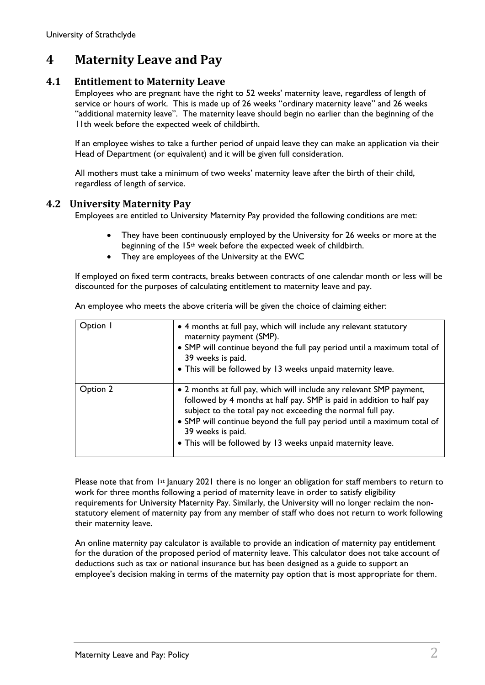## <span id="page-2-0"></span>**4 Maternity Leave and Pay**

#### **4.1 Entitlement to Maternity Leave**

<span id="page-2-1"></span>Employees who are pregnant have the right to 52 weeks' maternity leave, regardless of length of service or hours of work. This is made up of 26 weeks "ordinary maternity leave" and 26 weeks "additional maternity leave". The maternity leave should begin no earlier than the beginning of the 11th week before the expected week of childbirth.

If an employee wishes to take a further period of unpaid leave they can make an application via their Head of Department (or equivalent) and it will be given full consideration.

All mothers must take a minimum of two weeks' maternity leave after the birth of their child, regardless of length of service.

#### <span id="page-2-2"></span>**4.2 University Maternity Pay**

Employees are entitled to University Maternity Pay provided the following conditions are met:

- They have been continuously employed by the University for 26 weeks or more at the beginning of the 15th week before the expected week of childbirth.
- They are employees of the University at the EWC

If employed on fixed term contracts, breaks between contracts of one calendar month or less will be discounted for the purposes of calculating entitlement to maternity leave and pay.

| Option I | • 4 months at full pay, which will include any relevant statutory<br>maternity payment (SMP).<br>• SMP will continue beyond the full pay period until a maximum total of<br>39 weeks is paid.<br>• This will be followed by 13 weeks unpaid maternity leave.                                                                                                                |
|----------|-----------------------------------------------------------------------------------------------------------------------------------------------------------------------------------------------------------------------------------------------------------------------------------------------------------------------------------------------------------------------------|
| Option 2 | • 2 months at full pay, which will include any relevant SMP payment,<br>followed by 4 months at half pay. SMP is paid in addition to half pay<br>subject to the total pay not exceeding the normal full pay.<br>• SMP will continue beyond the full pay period until a maximum total of<br>39 weeks is paid.<br>• This will be followed by 13 weeks unpaid maternity leave. |

An employee who meets the above criteria will be given the choice of claiming either:

Please note that from 1st January 2021 there is no longer an obligation for staff members to return to work for three months following a period of maternity leave in order to satisfy eligibility requirements for University Maternity Pay. Similarly, the University will no longer reclaim the nonstatutory element of maternity pay from any member of staff who does not return to work following their maternity leave.

An online maternity pay calculator is available to provide an indication of maternity pay entitlement for the duration of the proposed period of maternity leave. This calculator does not take account of deductions such as tax or national insurance but has been designed as a guide to support an employee's decision making in terms of the maternity pay option that is most appropriate for them.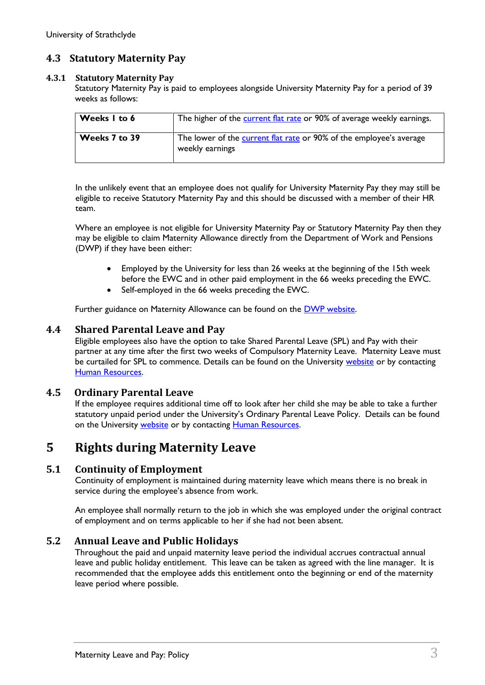#### <span id="page-3-0"></span>**4.3 Statutory Maternity Pay**

#### **4.3.1 Statutory Maternity Pay**

Statutory Maternity Pay is paid to employees alongside University Maternity Pay for a period of 39 weeks as follows:

| Weeks I to 6  | The higher of the current flat rate or 90% of average weekly earnings.                 |
|---------------|----------------------------------------------------------------------------------------|
| Weeks 7 to 39 | The lower of the current flat rate or 90% of the employee's average<br>weekly earnings |

In the unlikely event that an employee does not qualify for University Maternity Pay they may still be eligible to receive Statutory Maternity Pay and this should be discussed with a member of their HR team.

Where an employee is not eligible for University Maternity Pay or Statutory Maternity Pay then they may be eligible to claim Maternity Allowance directly from the Department of Work and Pensions (DWP) if they have been either:

- Employed by the University for less than 26 weeks at the beginning of the 15th week before the EWC and in other paid employment in the 66 weeks preceding the EWC.
- Self-employed in the 66 weeks preceding the EWC.

Further guidance on Maternity Allowance can be found on the [DWP website.](http://www.dwp.gov.uk/publications/specialist-guides/technical-guidance/ni17a-a-guide-to-maternity/maternity-allowance-ma/how-to-claim-ma/)

#### <span id="page-3-1"></span>**4.4 Shared Parental Leave and Pay**

Eligible employees also have the option to take Shared Parental Leave (SPL) and Pay with their partner at any time after the first two weeks of Compulsory Maternity Leave. Maternity Leave must be curtailed for SPL to commence. Details can be found on the University [website](https://www.strath.ac.uk/professionalservices/staff/policies/hr/) or by contacting [Human Resources.](mailto:humanresources@strath.ac.uk)

#### **4.5 Ordinary Parental Leave**

<span id="page-3-2"></span>If the employee requires additional time off to look after her child she may be able to take a further statutory unpaid period under the University's Ordinary Parental Leave Policy. Details can be found on the University [website](https://www.strath.ac.uk/professionalservices/staff/policies/hr/) or by contacting [Human Resources.](mailto:humanresources@strath.ac.uk)

## <span id="page-3-3"></span>**5 Rights during Maternity Leave**

#### <span id="page-3-4"></span>**5.1 Continuity of Employment**

Continuity of employment is maintained during maternity leave which means there is no break in service during the employee's absence from work.

An employee shall normally return to the job in which she was employed under the original contract of employment and on terms applicable to her if she had not been absent.

#### **5.2 Annual Leave and Public Holidays**

<span id="page-3-5"></span>Throughout the paid and unpaid maternity leave period the individual accrues contractual annual leave and public holiday entitlement. This leave can be taken as agreed with the line manager. It is recommended that the employee adds this entitlement onto the beginning or end of the maternity leave period where possible.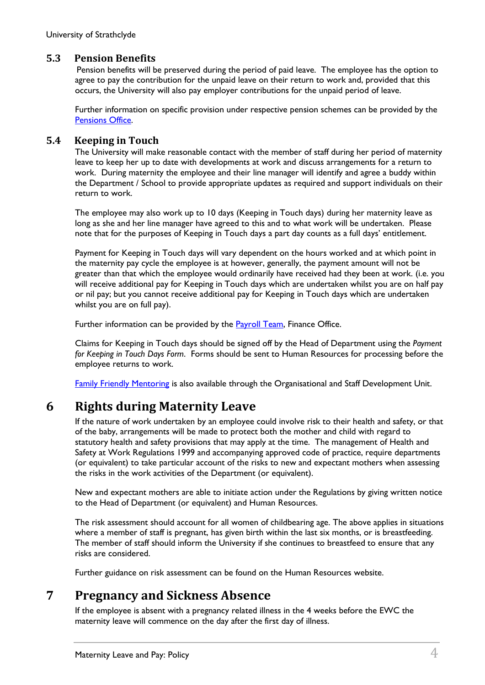#### **5.3 Pension Benefits**

<span id="page-4-0"></span> Pension benefits will be preserved during the period of paid leave. The employee has the option to agree to pay the contribution for the unpaid leave on their return to work and, provided that this occurs, the University will also pay employer contributions for the unpaid period of leave.

Further information on specific provision under respective pension schemes can be provided by the [Pensions Office.](mailto:pensions@strath.ac.uk)

#### <span id="page-4-1"></span>**5.4 Keeping in Touch**

The University will make reasonable contact with the member of staff during her period of maternity leave to keep her up to date with developments at work and discuss arrangements for a return to work. During maternity the employee and their line manager will identify and agree a buddy within the Department / School to provide appropriate updates as required and support individuals on their return to work.

The employee may also work up to 10 days (Keeping in Touch days) during her maternity leave as long as she and her line manager have agreed to this and to what work will be undertaken. Please note that for the purposes of Keeping in Touch days a part day counts as a full days' entitlement.

Payment for Keeping in Touch days will vary dependent on the hours worked and at which point in the maternity pay cycle the employee is at however, generally, the payment amount will not be greater than that which the employee would ordinarily have received had they been at work. (i.e. you will receive additional pay for Keeping in Touch days which are undertaken whilst you are on half pay or nil pay; but you cannot receive additional pay for Keeping in Touch days which are undertaken whilst you are on full pay).

Further information can be provided by the **Payroll Team**, Finance Office.

Claims for Keeping in Touch days should be signed off by the Head of Department using the *Payment for Keeping in Touch Days Form*. Forms should be sent to Human Resources for processing before the employee returns to work.

[Family Friendly Mentoring](https://www.strath.ac.uk/hr/mentoringstrathclyde/) is also available through the Organisational and Staff Development Unit.

## <span id="page-4-2"></span>**6 Rights during Maternity Leave**

If the nature of work undertaken by an employee could involve risk to their health and safety, or that of the baby, arrangements will be made to protect both the mother and child with regard to statutory health and safety provisions that may apply at the time. The management of Health and Safety at Work Regulations 1999 and accompanying approved code of practice, require departments (or equivalent) to take particular account of the risks to new and expectant mothers when assessing the risks in the work activities of the Department (or equivalent).

New and expectant mothers are able to initiate action under the Regulations by giving written notice to the Head of Department (or equivalent) and Human Resources.

The risk assessment should account for all women of childbearing age. The above applies in situations where a member of staff is pregnant, has given birth within the last six months, or is breastfeeding. The member of staff should inform the University if she continues to breastfeed to ensure that any risks are considered.

Further guidance on risk assessment can be found on the Human Resources website.

## <span id="page-4-3"></span>**7 Pregnancy and Sickness Absence**

If the employee is absent with a pregnancy related illness in the 4 weeks before the EWC the maternity leave will commence on the day after the first day of illness.